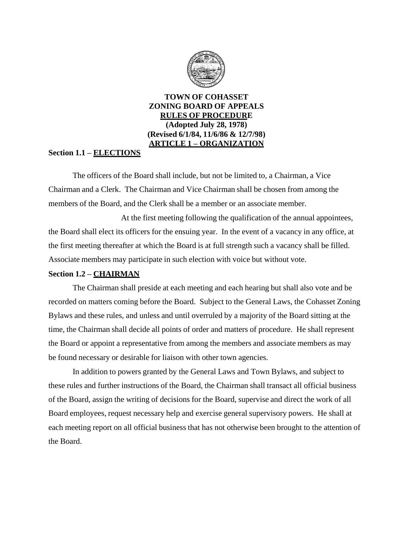

**TOWN OF COHASSET ZONING BOARD OF APPEALS RULES OF PROCEDURE (Adopted July 28, 1978) (Revised 6/1/84, 11/6/86 & 12/7/98) ARTICLE 1 – ORGANIZATION**

## **Section 1.1 – ELECTIONS**

The officers of the Board shall include, but not be limited to, a Chairman, a Vice Chairman and a Clerk. The Chairman and Vice Chairman shall be chosen from among the members of the Board, and the Clerk shall be a member or an associate member.

At the first meeting following the qualification of the annual appointees, the Board shall elect its officers for the ensuing year. In the event of a vacancy in any office, at the first meeting thereafter at which the Board is at full strength such a vacancy shall be filled. Associate members may participate in such election with voice but without vote.

# **Section 1.2 – CHAIRMAN**

The Chairman shall preside at each meeting and each hearing but shall also vote and be recorded on matters coming before the Board. Subject to the General Laws, the Cohasset Zoning Bylaws and these rules, and unless and until overruled by a majority of the Board sitting at the time, the Chairman shall decide all points of order and matters of procedure. He shall represent the Board or appoint a representative from among the members and associate members as may be found necessary or desirable for liaison with other town agencies.

In addition to powers granted by the General Laws and Town Bylaws, and subject to these rules and further instructions of the Board, the Chairman shall transact all official business of the Board, assign the writing of decisions for the Board, supervise and direct the work of all Board employees, request necessary help and exercise general supervisory powers. He shall at each meeting report on all official business that has not otherwise been brought to the attention of the Board.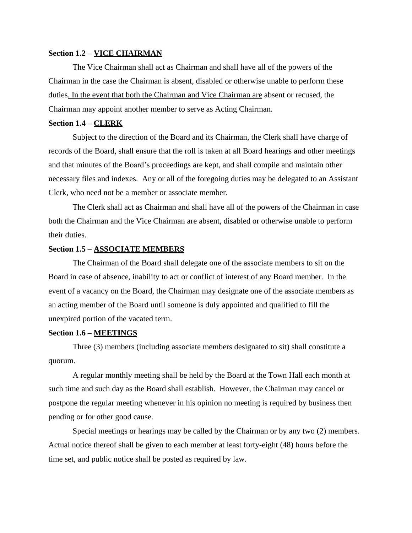## **Section 1.2 – VICE CHAIRMAN**

The Vice Chairman shall act as Chairman and shall have all of the powers of the Chairman in the case the Chairman is absent, disabled or otherwise unable to perform these duties. In the event that both the Chairman and Vice Chairman are absent or recused, the Chairman may appoint another member to serve as Acting Chairman.

## **Section 1.4 – CLERK**

Subject to the direction of the Board and its Chairman, the Clerk shall have charge of records of the Board, shall ensure that the roll is taken at all Board hearings and other meetings and that minutes of the Board's proceedings are kept, and shall compile and maintain other necessary files and indexes. Any or all of the foregoing duties may be delegated to an Assistant Clerk, who need not be a member or associate member.

The Clerk shall act as Chairman and shall have all of the powers of the Chairman in case both the Chairman and the Vice Chairman are absent, disabled or otherwise unable to perform their duties.

#### **Section 1.5 – ASSOCIATE MEMBERS**

The Chairman of the Board shall delegate one of the associate members to sit on the Board in case of absence, inability to act or conflict of interest of any Board member. In the event of a vacancy on the Board, the Chairman may designate one of the associate members as an acting member of the Board until someone is duly appointed and qualified to fill the unexpired portion of the vacated term.

## **Section 1.6 – MEETINGS**

Three (3) members (including associate members designated to sit) shall constitute a quorum.

A regular monthly meeting shall be held by the Board at the Town Hall each month at such time and such day as the Board shall establish. However, the Chairman may cancel or postpone the regular meeting whenever in his opinion no meeting is required by business then pending or for other good cause.

Special meetings or hearings may be called by the Chairman or by any two (2) members. Actual notice thereof shall be given to each member at least forty-eight (48) hours before the time set, and public notice shall be posted as required by law.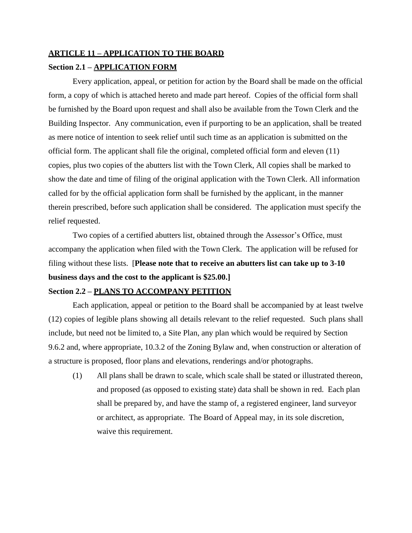# **ARTICLE 11 – APPLICATION TO THE BOARD Section 2.1 – APPLICATION FORM**

Every application, appeal, or petition for action by the Board shall be made on the official form, a copy of which is attached hereto and made part hereof. Copies of the official form shall be furnished by the Board upon request and shall also be available from the Town Clerk and the Building Inspector. Any communication, even if purporting to be an application, shall be treated as mere notice of intention to seek relief until such time as an application is submitted on the official form. The applicant shall file the original, completed official form and eleven (11) copies, plus two copies of the abutters list with the Town Clerk, All copies shall be marked to show the date and time of filing of the original application with the Town Clerk. All information called for by the official application form shall be furnished by the applicant, in the manner therein prescribed, before such application shall be considered. The application must specify the relief requested.

Two copies of a certified abutters list, obtained through the Assessor's Office, must accompany the application when filed with the Town Clerk. The application will be refused for filing without these lists. [**Please note that to receive an abutters list can take up to 3-10 business days and the cost to the applicant is \$25.00.]**

## **Section 2.2 – PLANS TO ACCOMPANY PETITION**

Each application, appeal or petition to the Board shall be accompanied by at least twelve (12) copies of legible plans showing all details relevant to the relief requested. Such plans shall include, but need not be limited to, a Site Plan, any plan which would be required by Section 9.6.2 and, where appropriate, 10.3.2 of the Zoning Bylaw and, when construction or alteration of a structure is proposed, floor plans and elevations, renderings and/or photographs.

(1) All plans shall be drawn to scale, which scale shall be stated or illustrated thereon, and proposed (as opposed to existing state) data shall be shown in red. Each plan shall be prepared by, and have the stamp of, a registered engineer, land surveyor or architect, as appropriate. The Board of Appeal may, in its sole discretion, waive this requirement.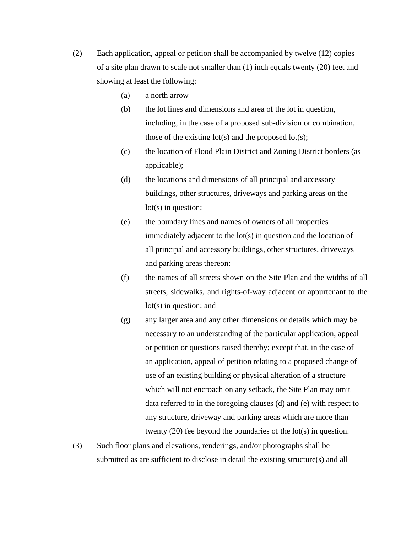- (2) Each application, appeal or petition shall be accompanied by twelve (12) copies of a site plan drawn to scale not smaller than (1) inch equals twenty (20) feet and showing at least the following:
	- (a) a north arrow
	- (b) the lot lines and dimensions and area of the lot in question, including, in the case of a proposed sub-division or combination, those of the existing  $lot(s)$  and the proposed  $lot(s)$ ;
	- (c) the location of Flood Plain District and Zoning District borders (as applicable);
	- (d) the locations and dimensions of all principal and accessory buildings, other structures, driveways and parking areas on the lot(s) in question;
	- (e) the boundary lines and names of owners of all properties immediately adjacent to the lot(s) in question and the location of all principal and accessory buildings, other structures, driveways and parking areas thereon:
	- (f) the names of all streets shown on the Site Plan and the widths of all streets, sidewalks, and rights-of-way adjacent or appurtenant to the lot(s) in question; and
	- (g) any larger area and any other dimensions or details which may be necessary to an understanding of the particular application, appeal or petition or questions raised thereby; except that, in the case of an application, appeal of petition relating to a proposed change of use of an existing building or physical alteration of a structure which will not encroach on any setback, the Site Plan may omit data referred to in the foregoing clauses (d) and (e) with respect to any structure, driveway and parking areas which are more than twenty (20) fee beyond the boundaries of the lot(s) in question.
- (3) Such floor plans and elevations, renderings, and/or photographs shall be submitted as are sufficient to disclose in detail the existing structure(s) and all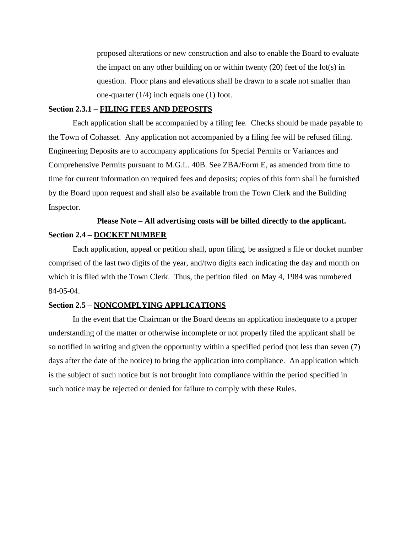proposed alterations or new construction and also to enable the Board to evaluate the impact on any other building on or within twenty  $(20)$  feet of the lot(s) in question. Floor plans and elevations shall be drawn to a scale not smaller than one-quarter (1/4) inch equals one (1) foot.

## **Section 2.3.1 – FILING FEES AND DEPOSITS**

Each application shall be accompanied by a filing fee. Checks should be made payable to the Town of Cohasset. Any application not accompanied by a filing fee will be refused filing. Engineering Deposits are to accompany applications for Special Permits or Variances and Comprehensive Permits pursuant to M.G.L. 40B. See ZBA/Form E, as amended from time to time for current information on required fees and deposits; copies of this form shall be furnished by the Board upon request and shall also be available from the Town Clerk and the Building Inspector.

# **Please Note – All advertising costs will be billed directly to the applicant. Section 2.4 – DOCKET NUMBER**

Each application, appeal or petition shall, upon filing, be assigned a file or docket number comprised of the last two digits of the year, and/two digits each indicating the day and month on which it is filed with the Town Clerk. Thus, the petition filed on May 4, 1984 was numbered 84-05-04.

## **Section 2.5 – NONCOMPLYING APPLICATIONS**

In the event that the Chairman or the Board deems an application inadequate to a proper understanding of the matter or otherwise incomplete or not properly filed the applicant shall be so notified in writing and given the opportunity within a specified period (not less than seven (7) days after the date of the notice) to bring the application into compliance. An application which is the subject of such notice but is not brought into compliance within the period specified in such notice may be rejected or denied for failure to comply with these Rules.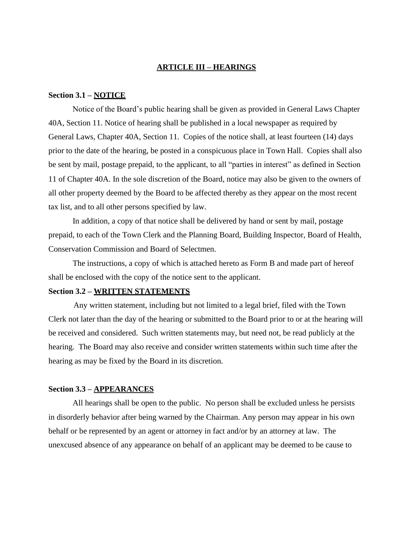#### **ARTICLE III – HEARINGS**

### **Section 3.1 – NOTICE**

Notice of the Board's public hearing shall be given as provided in General Laws Chapter 40A, Section 11. Notice of hearing shall be published in a local newspaper as required by General Laws, Chapter 40A, Section 11. Copies of the notice shall, at least fourteen (14) days prior to the date of the hearing, be posted in a conspicuous place in Town Hall. Copies shall also be sent by mail, postage prepaid, to the applicant, to all "parties in interest" as defined in Section 11 of Chapter 40A. In the sole discretion of the Board, notice may also be given to the owners of all other property deemed by the Board to be affected thereby as they appear on the most recent tax list, and to all other persons specified by law.

In addition, a copy of that notice shall be delivered by hand or sent by mail, postage prepaid, to each of the Town Clerk and the Planning Board, Building Inspector, Board of Health, Conservation Commission and Board of Selectmen.

The instructions, a copy of which is attached hereto as Form B and made part of hereof shall be enclosed with the copy of the notice sent to the applicant.

## **Section 3.2 – WRITTEN STATEMENTS**

Any written statement, including but not limited to a legal brief, filed with the Town Clerk not later than the day of the hearing or submitted to the Board prior to or at the hearing will be received and considered. Such written statements may, but need not, be read publicly at the hearing. The Board may also receive and consider written statements within such time after the hearing as may be fixed by the Board in its discretion.

## **Section 3.3 – APPEARANCES**

All hearings shall be open to the public. No person shall be excluded unless he persists in disorderly behavior after being warned by the Chairman. Any person may appear in his own behalf or be represented by an agent or attorney in fact and/or by an attorney at law. The unexcused absence of any appearance on behalf of an applicant may be deemed to be cause to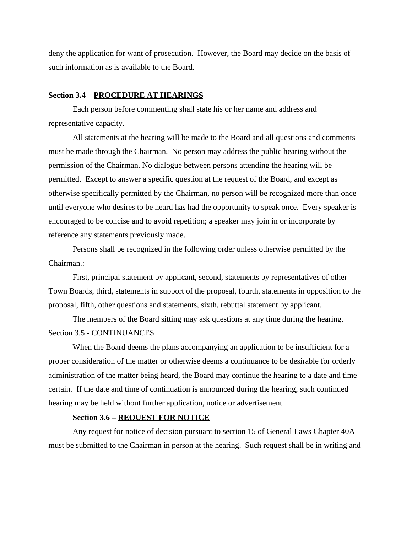deny the application for want of prosecution. However, the Board may decide on the basis of such information as is available to the Board.

## **Section 3.4 – PROCEDURE AT HEARINGS**

Each person before commenting shall state his or her name and address and representative capacity.

All statements at the hearing will be made to the Board and all questions and comments must be made through the Chairman. No person may address the public hearing without the permission of the Chairman. No dialogue between persons attending the hearing will be permitted. Except to answer a specific question at the request of the Board, and except as otherwise specifically permitted by the Chairman, no person will be recognized more than once until everyone who desires to be heard has had the opportunity to speak once. Every speaker is encouraged to be concise and to avoid repetition; a speaker may join in or incorporate by reference any statements previously made.

Persons shall be recognized in the following order unless otherwise permitted by the Chairman.:

First, principal statement by applicant, second, statements by representatives of other Town Boards, third, statements in support of the proposal, fourth, statements in opposition to the proposal, fifth, other questions and statements, sixth, rebuttal statement by applicant.

The members of the Board sitting may ask questions at any time during the hearing. Section 3.5 - CONTINUANCES

When the Board deems the plans accompanying an application to be insufficient for a proper consideration of the matter or otherwise deems a continuance to be desirable for orderly administration of the matter being heard, the Board may continue the hearing to a date and time certain. If the date and time of continuation is announced during the hearing, such continued hearing may be held without further application, notice or advertisement.

## **Section 3.6 – REQUEST FOR NOTICE**

Any request for notice of decision pursuant to section 15 of General Laws Chapter 40A must be submitted to the Chairman in person at the hearing. Such request shall be in writing and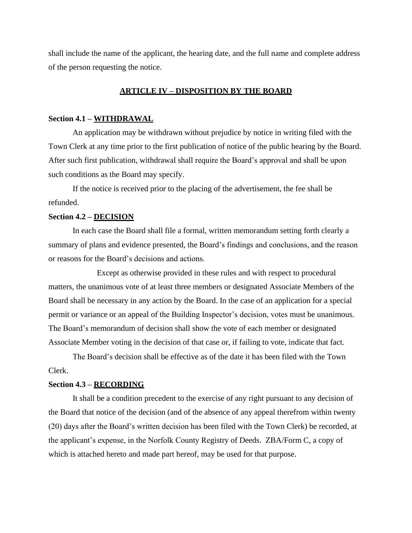shall include the name of the applicant, the hearing date, and the full name and complete address of the person requesting the notice.

## **ARTICLE IV – DISPOSITION BY THE BOARD**

#### **Section 4.1 – WITHDRAWAL**

An application may be withdrawn without prejudice by notice in writing filed with the Town Clerk at any time prior to the first publication of notice of the public hearing by the Board. After such first publication, withdrawal shall require the Board's approval and shall be upon such conditions as the Board may specify.

If the notice is received prior to the placing of the advertisement, the fee shall be refunded.

#### **Section 4.2 – DECISION**

In each case the Board shall file a formal, written memorandum setting forth clearly a summary of plans and evidence presented, the Board's findings and conclusions, and the reason or reasons for the Board's decisions and actions.

Except as otherwise provided in these rules and with respect to procedural matters, the unanimous vote of at least three members or designated Associate Members of the Board shall be necessary in any action by the Board. In the case of an application for a special permit or variance or an appeal of the Building Inspector's decision, votes must be unanimous. The Board's memorandum of decision shall show the vote of each member or designated Associate Member voting in the decision of that case or, if failing to vote, indicate that fact.

The Board's decision shall be effective as of the date it has been filed with the Town Clerk.

## **Section 4.3 – RECORDING**

It shall be a condition precedent to the exercise of any right pursuant to any decision of the Board that notice of the decision (and of the absence of any appeal therefrom within twenty (20) days after the Board's written decision has been filed with the Town Clerk) be recorded, at the applicant's expense, in the Norfolk County Registry of Deeds. ZBA/Form C, a copy of which is attached hereto and made part hereof, may be used for that purpose.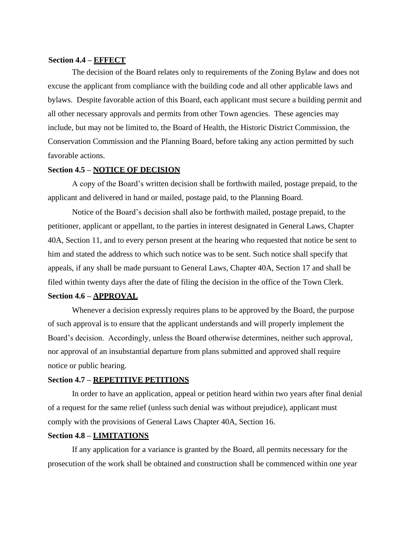## **Section 4.4 – EFFECT**

The decision of the Board relates only to requirements of the Zoning Bylaw and does not excuse the applicant from compliance with the building code and all other applicable laws and bylaws. Despite favorable action of this Board, each applicant must secure a building permit and all other necessary approvals and permits from other Town agencies. These agencies may include, but may not be limited to, the Board of Health, the Historic District Commission, the Conservation Commission and the Planning Board, before taking any action permitted by such favorable actions.

## **Section 4.5 – NOTICE OF DECISION**

A copy of the Board's written decision shall be forthwith mailed, postage prepaid, to the applicant and delivered in hand or mailed, postage paid, to the Planning Board.

Notice of the Board's decision shall also be forthwith mailed, postage prepaid, to the petitioner, applicant or appellant, to the parties in interest designated in General Laws, Chapter 40A, Section 11, and to every person present at the hearing who requested that notice be sent to him and stated the address to which such notice was to be sent. Such notice shall specify that appeals, if any shall be made pursuant to General Laws, Chapter 40A, Section 17 and shall be filed within twenty days after the date of filing the decision in the office of the Town Clerk.

## **Section 4.6 – APPROVAL**

Whenever a decision expressly requires plans to be approved by the Board, the purpose of such approval is to ensure that the applicant understands and will properly implement the Board's decision. Accordingly, unless the Board otherwise determines, neither such approval, nor approval of an insubstantial departure from plans submitted and approved shall require notice or public hearing.

#### **Section 4.7 – REPETITIVE PETITIONS**

In order to have an application, appeal or petition heard within two years after final denial of a request for the same relief (unless such denial was without prejudice), applicant must comply with the provisions of General Laws Chapter 40A, Section 16.

## **Section 4.8 – LIMITATIONS**

If any application for a variance is granted by the Board, all permits necessary for the prosecution of the work shall be obtained and construction shall be commenced within one year